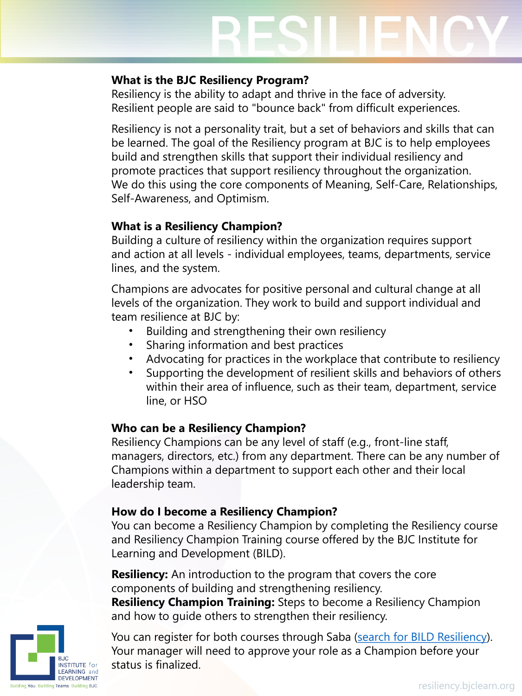#### **What is the BJC Resiliency Program?**

Resiliency is the ability to adapt and thrive in the face of adversity. Resilient people are said to "bounce back" from difficult experiences.

Resiliency is not a personality trait, but a set of behaviors and skills that can be learned. The goal of the Resiliency program at BJC is to help employees build and strengthen skills that support their individual resiliency and promote practices that support resiliency throughout the organization. We do this using the core components of Meaning, Self-Care, Relationships, Self-Awareness, and Optimism.

# **What is a Resiliency Champion?**

Building a culture of resiliency within the organization requires support and action at all levels - individual employees, teams, departments, service lines, and the system.

Champions are advocates for positive personal and cultural change at all levels of the organization. They work to build and support individual and team resilience at BJC by:

- Building and strengthening their own resiliency
- Sharing information and best practices
- Advocating for practices in the workplace that contribute to resiliency
- Supporting the development of resilient skills and behaviors of others within their area of influence, such as their team, department, service line, or HSO

# **Who can be a Resiliency Champion?**

Resiliency Champions can be any level of staff (e.g., front-line staff, managers, directors, etc.) from any department. There can be any number of Champions within a department to support each other and their local leadership team.

# **How do I become a Resiliency Champion?**

You can become a Resiliency Champion by completing the Resiliency course and Resiliency Champion Training course offered by the BJC Institute for Learning and Development (BILD).

**Resiliency:** An introduction to the program that covers the core components of building and strengthening resiliency.

**Resiliency Champion Training:** Steps to become a Resiliency Champion and how to guide others to strengthen their resiliency.

**FARNING** and **DEVELOPMENT** Building You. Building Teams. Building BJC.

You can register for both courses through Saba ([search for BILD Resiliency\)](https://bjc.sabacloud.com/Saba/Web_spf/NA3P1PRD0016/app/shared;spf-url=common%2Fcategorydetail%2Fcateg000000000006920%2Fxxemptyxx%2Fxxemptyxx%2FALL). Your manager will need to approve your role as a Champion before your status is finalized.